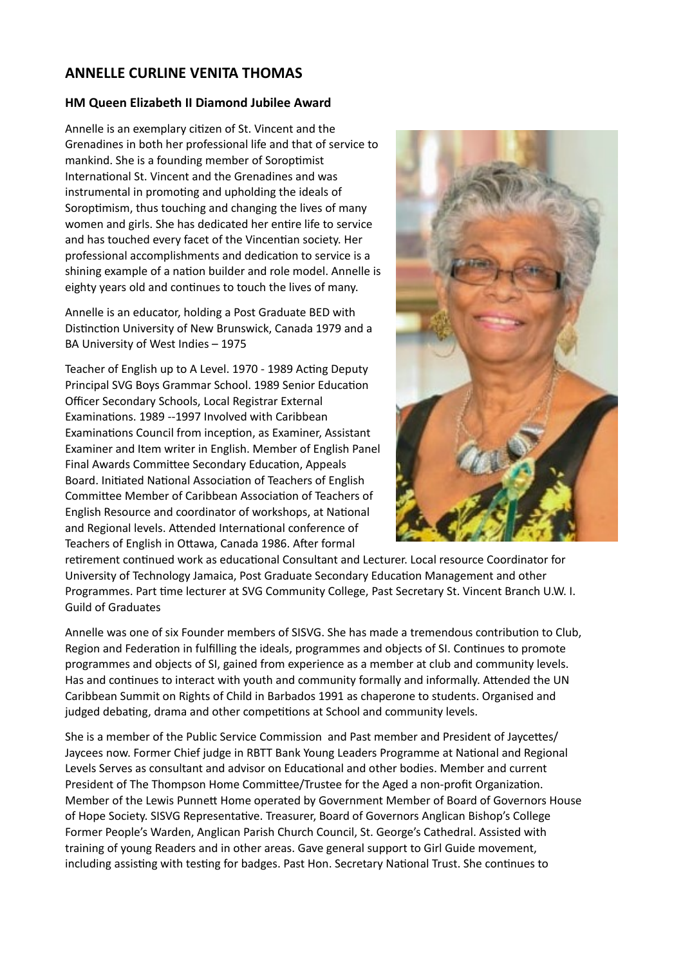## **ANNELLE CURLINE VENITA THOMAS**

## **HM Queen Elizabeth II Diamond Jubilee Award**

Annelle is an exemplary citizen of St. Vincent and the Grenadines in both her professional life and that of service to mankind. She is a founding member of Soroptimist International St. Vincent and the Grenadines and was instrumental in promoting and upholding the ideals of Soroptimism, thus touching and changing the lives of many women and girls. She has dedicated her entire life to service and has touched every facet of the Vincentian society. Her professional accomplishments and dedication to service is a shining example of a nation builder and role model. Annelle is eighty years old and continues to touch the lives of many.

Annelle is an educator, holding a Post Graduate BED with Distinction University of New Brunswick, Canada 1979 and a BA University of West Indies – 1975

Teacher of English up to A Level. 1970 - 1989 Acting Deputy Principal SVG Boys Grammar School. 1989 Senior Education Officer Secondary Schools, Local Registrar External Examinations. 1989 --1997 Involved with Caribbean Examinations Council from inception, as Examiner, Assistant Examiner and Item writer in English. Member of English Panel Final Awards Committee Secondary Education, Appeals Board. Initiated National Association of Teachers of English Committee Member of Caribbean Association of Teachers of English Resource and coordinator of workshops, at National and Regional levels. Attended International conference of Teachers of English in Ottawa, Canada 1986. After formal



retirement continued work as educational Consultant and Lecturer. Local resource Coordinator for University of Technology Jamaica, Post Graduate Secondary Education Management and other Programmes. Part time lecturer at SVG Community College, Past Secretary St. Vincent Branch U.W. I. Guild of Graduates

Annelle was one of six Founder members of SISVG. She has made a tremendous contribution to Club, Region and Federation in fulfilling the ideals, programmes and objects of SI. Continues to promote programmes and objects of SI, gained from experience as a member at club and community levels. Has and continues to interact with youth and community formally and informally. Attended the UN Caribbean Summit on Rights of Child in Barbados 1991 as chaperone to students. Organised and judged debating, drama and other competitions at School and community levels.

She is a member of the Public Service Commission and Past member and President of Javcettes/ Jaycees now. Former Chief judge in RBTT Bank Young Leaders Programme at National and Regional Levels Serves as consultant and advisor on Educational and other bodies. Member and current President of The Thompson Home Committee/Trustee for the Aged a non-profit Organization. Member of the Lewis Punnett Home operated by Government Member of Board of Governors House of Hope Society. SISVG Representative. Treasurer, Board of Governors Anglican Bishop's College Former People's Warden, Anglican Parish Church Council, St. George's Cathedral. Assisted with training of young Readers and in other areas. Gave general support to Girl Guide movement, including assisting with testing for badges. Past Hon. Secretary National Trust. She continues to